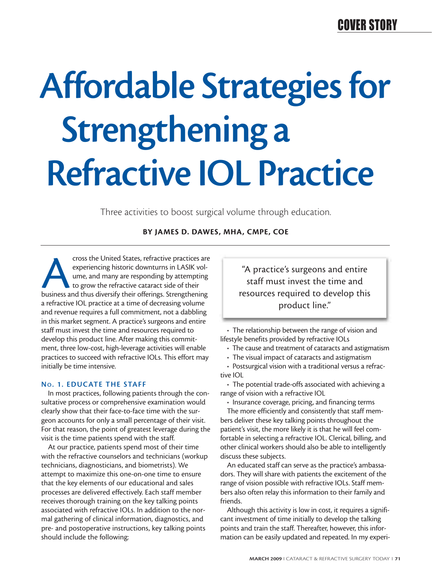## COVER STORY

# **Affordable Strategies for Strengthening a Refractive IOL Practice**

Three activities to boost surgical volume through education.

## **BY JAMES D. DAWES, MHA, CMPE, COE**

cross the United States, refractive practices are<br>experiencing historic downturns in LASIK vol-<br>ume, and many are responding by attempting<br>to grow the refractive cataract side of their<br>business and thus diversify their off experiencing historic downturns in LASIK volume, and many are responding by attempting to grow the refractive cataract side of their a refractive IOL practice at a time of decreasing volume and revenue requires a full commitment, not a dabbling in this market segment. A practice's surgeons and entire staff must invest the time and resources required to develop this product line. After making this commitment, three low-cost, high-leverage activities will enable practices to succeed with refractive IOLs. This effort may initially be time intensive.

#### **NO. 1. EDUCATE THE STAFF**

In most practices, following patients through the consultative process or comprehensive examination would clearly show that their face-to-face time with the surgeon accounts for only a small percentage of their visit. For that reason, the point of greatest leverage during the visit is the time patients spend with the staff.

At our practice, patients spend most of their time with the refractive counselors and technicians (workup technicians, diagnosticians, and biometrists). We attempt to maximize this one-on-one time to ensure that the key elements of our educational and sales processes are delivered effectively. Each staff member receives thorough training on the key talking points associated with refractive IOLs. In addition to the normal gathering of clinical information, diagnostics, and pre- and postoperative instructions, key talking points should include the following:

"A practice's surgeons and entire staff must invest the time and resources required to develop this product line."

• The relationship between the range of vision and lifestyle benefits provided by refractive IOLs

• The cause and treatment of cataracts and astigmatism

• The visual impact of cataracts and astigmatism

• Postsurgical vision with a traditional versus a refractive IOL

• The potential trade-offs associated with achieving a range of vision with a refractive IOL

• Insurance coverage, pricing, and financing terms

The more efficiently and consistently that staff members deliver these key talking points throughout the patient's visit, the more likely it is that he will feel comfortable in selecting a refractive IOL. Clerical, billing, and other clinical workers should also be able to intelligently discuss these subjects.

An educated staff can serve as the practice's ambassadors. They will share with patients the excitement of the range of vision possible with refractive IOLs. Staff members also often relay this information to their family and friends.

Although this activity is low in cost, it requires a significant investment of time initially to develop the talking points and train the staff. Thereafter, however, this information can be easily updated and repeated. In my experi-